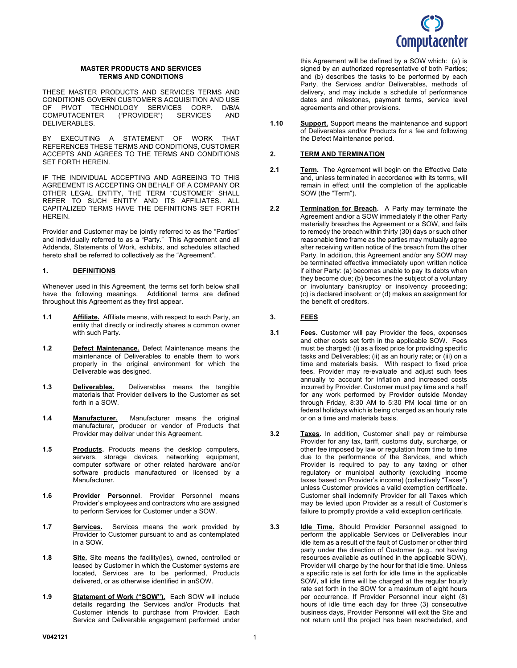

### **MASTER PRODUCTS AND SERVICES TERMS AND CONDITIONS**

THESE MASTER PRODUCTS AND SERVICES TERMS AND CONDITIONS GOVERN CUSTOMER'S ACQUISITION AND USE<br>OF PIVOT TECHNOLOGY SERVICES CORP. D/B/A OF PIVOT TECHNOLOGY SERVICES CORP. D/B/A<br>COMPUTACENTER ("PROVIDER") SERVICES AND COMPUTACENTER DELIVERABLES.

BY EXECUTING A STATEMENT OF WORK THAT REFERENCES THESE TERMS AND CONDITIONS, CUSTOMER ACCEPTS AND AGREES TO THE TERMS AND CONDITIONS SET FORTH HEREIN.

IF THE INDIVIDUAL ACCEPTING AND AGREEING TO THIS AGREEMENT IS ACCEPTING ON BEHALF OF A COMPANY OR OTHER LEGAL ENTITY, THE TERM "CUSTOMER" SHALL REFER TO SUCH ENTITY AND ITS AFFILIATES. ALL CAPITALIZED TERMS HAVE THE DEFINITIONS SET FORTH HEREIN.

Provider and Customer may be jointly referred to as the "Parties" and individually referred to as a "Party." This Agreement and all Addenda, Statements of Work, exhibits, and schedules attached hereto shall be referred to collectively as the "Agreement".

#### **1. DEFINITIONS**

Whenever used in this Agreement, the terms set forth below shall have the following meanings. Additional terms are defined throughout this Agreement as they first appear.

- **1.1 Affiliate.** Affiliate means, with respect to each Party, an entity that directly or indirectly shares a common owner with such Party.
- **1.2 Defect Maintenance.** Defect Maintenance means the maintenance of Deliverables to enable them to work properly in the original environment for which the Deliverable was designed.
- **1.3 Deliverables.** Deliverables means the tangible materials that Provider delivers to the Customer as set forth in a SOW.
- **1.4 Manufacturer.** Manufacturer means the original manufacturer, producer or vendor of Products that Provider may deliver under this Agreement.
- **1.5 Products.** Products means the desktop computers, servers, storage devices, networking equipment, computer software or other related hardware and/or software products manufactured or licensed by a Manufacturer.
- **1.6 Provider Personnel**. Provider Personnel means Provider's employees and contractors who are assigned to perform Services for Customer under a SOW.
- **1.7 Services.** Services means the work provided by Provider to Customer pursuant to and as contemplated in a SOW.
- **1.8 Site.** Site means the facility(ies), owned, controlled or leased by Customer in which the Customer systems are located, Services are to be performed, Products delivered, or as otherwise identified in anSOW.
- **1.9 Statement of Work ("SOW").** Each SOW will include details regarding the Services and/or Products that Customer intends to purchase from Provider. Each Service and Deliverable engagement performed under

this Agreement will be defined by a SOW which: (a) is signed by an authorized representative of both Parties; and (b) describes the tasks to be performed by each Party, the Services and/or Deliverables, methods of delivery, and may include a schedule of performance dates and milestones, payment terms, service level agreements and other provisions.

**1.10 Support.** Support means the maintenance and support of Deliverables and/or Products for a fee and following the Defect Maintenance period.

#### **2. TERM AND TERMINATION**

- **2.1 Term.** The Agreement will begin on the Effective Date and, unless terminated in accordance with its terms, will remain in effect until the completion of the applicable SOW (the "Term").
- **2.2 Termination for Breach.** A Party may terminate the Agreement and/or a SOW immediately if the other Party materially breaches the Agreement or a SOW, and fails to remedy the breach within thirty (30) days or such other reasonable time frame as the parties may mutually agree after receiving written notice of the breach from the other Party. In addition, this Agreement and/or any SOW may be terminated effective immediately upon written notice if either Party: (a) becomes unable to pay its debts when they become due; (b) becomes the subject of a voluntary or involuntary bankruptcy or insolvency proceeding; (c) is declared insolvent; or (d) makes an assignment for the benefit of creditors.

# **3. FEES**

- **3.1 Fees.** Customer will pay Provider the fees, expenses and other costs set forth in the applicable SOW. Fees must be charged: (i) as a fixed price for providing specific tasks and Deliverables; (ii) as an hourly rate; or (iii) on a time and materials basis. With respect to fixed price fees, Provider may re-evaluate and adjust such fees annually to account for inflation and increased costs incurred by Provider. Customer must pay time and a half for any work performed by Provider outside Monday through Friday, 8:30 AM to 5:30 PM local time or on federal holidays which is being charged as an hourly rate or on a time and materials basis.
- **3.2 Taxes.** In addition, Customer shall pay or reimburse Provider for any tax, tariff, customs duty, surcharge, or other fee imposed by law or regulation from time to time due to the performance of the Services, and which Provider is required to pay to any taxing or other regulatory or municipal authority (excluding income taxes based on Provider's income) (collectively "Taxes") unless Customer provides a valid exemption certificate. Customer shall indemnify Provider for all Taxes which may be levied upon Provider as a result of Customer's failure to promptly provide a valid exception certificate.
- **3.3 Idle Time.** Should Provider Personnel assigned to perform the applicable Services or Deliverables incur idle item as a result of the fault of Customer or other third party under the direction of Customer (e.g., not having resources available as outlined in the applicable SOW), Provider will charge by the hour for that idle time. Unless a specific rate is set forth for idle time in the applicable SOW, all idle time will be charged at the regular hourly rate set forth in the SOW for a maximum of eight hours per occurrence. If Provider Personnel incur eight (8) hours of idle time each day for three (3) consecutive business days, Provider Personnel will exit the Site and not return until the project has been rescheduled, and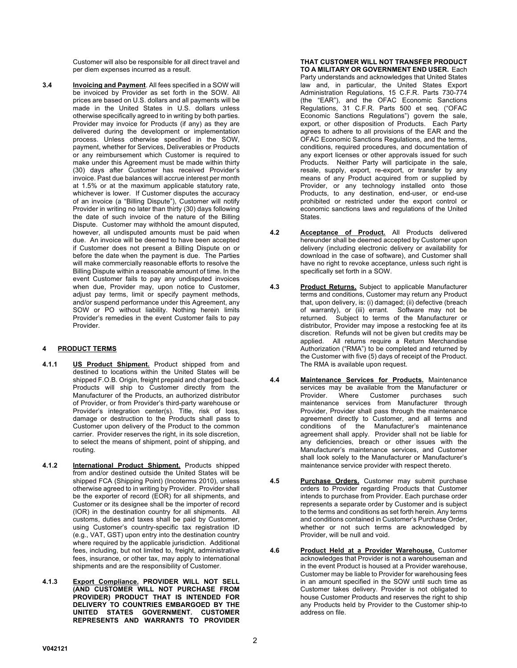Customer will also be responsible for all direct travel and per diem expenses incurred as a result.

**3.4 Invoicing and Payment**. All fees specified in a SOW will be invoiced by Provider as set forth in the SOW. All prices are based on U.S. dollars and all payments will be made in the United States in U.S. dollars unless otherwise specifically agreed to in writing by both parties. Provider may invoice for Products (if any) as they are delivered during the development or implementation process. Unless otherwise specified in the SOW, payment, whether for Services, Deliverables or Products or any reimbursement which Customer is required to make under this Agreement must be made within thirty (30) days after Customer has received Provider's invoice. Past due balances will accrue interest per month at 1.5% or at the maximum applicable statutory rate, whichever is lower. If Customer disputes the accuracy of an invoice (a "Billing Dispute"), Customer will notify Provider in writing no later than thirty (30) days following the date of such invoice of the nature of the Billing Dispute. Customer may withhold the amount disputed, however, all undisputed amounts must be paid when due. An invoice will be deemed to have been accepted if Customer does not present a Billing Dispute on or before the date when the payment is due. The Parties will make commercially reasonable efforts to resolve the Billing Dispute within a reasonable amount of time. In the event Customer fails to pay any undisputed invoices when due, Provider may, upon notice to Customer, adjust pay terms, limit or specify payment methods, and/or suspend performance under this Agreement, any SOW or PO without liability. Nothing herein limits Provider's remedies in the event Customer fails to pay Provider.

# **4 PRODUCT TERMS**

- **4.1.1 US Product Shipment.** Product shipped from and destined to locations within the United States will be shipped F.O.B. Origin, freight prepaid and charged back. Products will ship to Customer directly from the Manufacturer of the Products, an authorized distributor of Provider, or from Provider's third-party warehouse or Provider's integration center(s). Title, risk of loss, damage or destruction to the Products shall pass to Customer upon delivery of the Product to the common carrier. Provider reserves the right, in its sole discretion, to select the means of shipment, point of shipping, and routing.
- **4.1.2 International Product Shipment.** Products shipped from and/or destined outside the United States will be shipped FCA (Shipping Point) (Incoterms 2010), unless otherwise agreed to in writing by Provider. Provider shall be the exporter of record (EOR) for all shipments, and Customer or its designee shall be the importer of record (IOR) in the destination country for all shipments. All customs, duties and taxes shall be paid by Customer, using Customer's country-specific tax registration ID (e.g., VAT, GST) upon entry into the destination country where required by the applicable jurisdiction. Additional fees, including, but not limited to, freight, administrative fees, insurance, or other tax, may apply to international shipments and are the responsibility of Customer.
- **4.1.3 Export Compliance. PROVIDER WILL NOT SELL (AND CUSTOMER WILL NOT PURCHASE FROM PROVIDER) PRODUCT THAT IS INTENDED FOR DELIVERY TO COUNTRIES EMBARGOED BY THE UNITED STATES GOVERNMENT. CUSTOMER REPRESENTS AND WARRANTS TO PROVIDER**

#### **THAT CUSTOMER WILL NOT TRANSFER PRODUCT TO A MILITARY OR GOVERNMENT END USER.** Each

Party understands and acknowledges that United States law and, in particular, the United States Export Administration Regulations, 15 C.F.R. Parts 730-774 (the "EAR"), and the OFAC Economic Sanctions Regulations, 31 C.F.R. Parts 500 et seq. ("OFAC Economic Sanctions Regulations") govern the sale, export, or other disposition of Products. Each Party agrees to adhere to all provisions of the EAR and the OFAC Economic Sanctions Regulations, and the terms, conditions, required procedures, and documentation of any export licenses or other approvals issued for such Products. Neither Party will participate in the sale, resale, supply, export, re-export, or transfer by any means of any Product acquired from or supplied by Provider, or any technology installed onto those Products, to any destination, end-user, or end-use prohibited or restricted under the export control or economic sanctions laws and regulations of the United **States** 

- **4.2 Acceptance of Product.** All Products delivered hereunder shall be deemed accepted by Customer upon delivery (including electronic delivery or availability for download in the case of software), and Customer shall have no right to revoke acceptance, unless such right is specifically set forth in a SOW.
- **4.3 Product Returns.** Subject to applicable Manufacturer terms and conditions, Customer may return any Product that, upon delivery, is: (i) damaged; (ii) defective (breach of warranty), or (iii) errant. Software may not be returned. Subject to terms of the Manufacturer or distributor, Provider may impose a restocking fee at its discretion. Refunds will not be given but credits may be applied. All returns require a Return Merchandise Authorization ("RMA") to be completed and returned by the Customer with five (5) days of receipt of the Product. The RMA is available upon request.
- **4.4 Maintenance Services for Products.** Maintenance services may be available from the Manufacturer or<br>Provider. Where Customer purchases such Provider. Where Customer purchases such maintenance services from Manufacturer through Provider, Provider shall pass through the maintenance agreement directly to Customer, and all terms and conditions of the Manufacturer's maintenance agreement shall apply. Provider shall not be liable for any deficiencies, breach or other issues with the Manufacturer's maintenance services, and Customer shall look solely to the Manufacturer or Manufacturer's maintenance service provider with respect thereto.
- **4.5 Purchase Orders.** Customer may submit purchase orders to Provider regarding Products that Customer intends to purchase from Provider. Each purchase order represents a separate order by Customer and is subject to the terms and conditions as set forth herein. Any terms and conditions contained in Customer's Purchase Order, whether or not such terms are acknowledged by Provider, will be null and void.
- **4.6 Product Held at a Provider Warehouse.** Customer acknowledges that Provider is not a warehouseman and in the event Product is housed at a Provider warehouse, Customer may be liable to Provider for warehousing fees in an amount specified in the SOW until such time as Customer takes delivery. Provider is not obligated to house Customer Products and reserves the right to ship any Products held by Provider to the Customer ship-to address on file.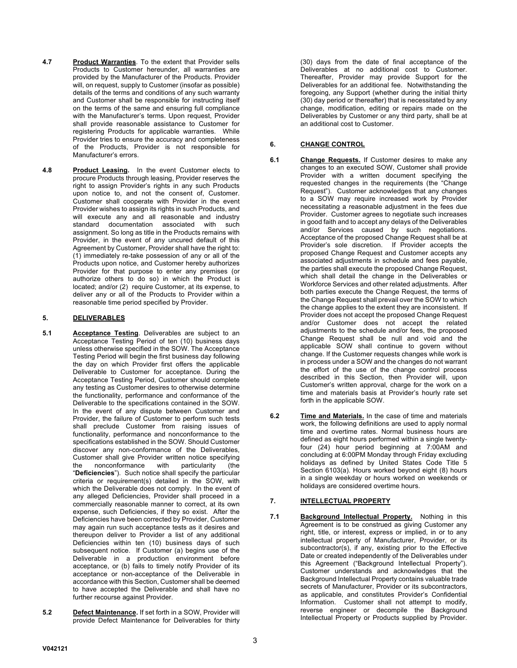- **4.7 Product Warranties**. To the extent that Provider sells Products to Customer hereunder, all warranties are provided by the Manufacturer of the Products. Provider will, on request, supply to Customer (insofar as possible) details of the terms and conditions of any such warranty and Customer shall be responsible for instructing itself on the terms of the same and ensuring full compliance with the Manufacturer's terms. Upon request, Provider shall provide reasonable assistance to Customer for registering Products for applicable warranties. While Provider tries to ensure the accuracy and completeness of the Products, Provider is not responsible for Manufacturer's errors.
- **4.8 Product Leasing.** In the event Customer elects to procure Products through leasing, Provider reserves the right to assign Provider's rights in any such Products upon notice to, and not the consent of, Customer. Customer shall cooperate with Provider in the event Provider wishes to assign its rights in such Products, and will execute any and all reasonable and industry standard documentation associated with such assignment. So long as title in the Products remains with Provider, in the event of any uncured default of this Agreement by Customer, Provider shall have the right to: (1) immediately re-take possession of any or all of the Products upon notice, and Customer hereby authorizes Provider for that purpose to enter any premises (or authorize others to do so) in which the Product is located; and/or (2) require Customer, at its expense, to deliver any or all of the Products to Provider within a reasonable time period specified by Provider.

# **5. DELIVERABLES**

- **5.1 Acceptance Testing**. Deliverables are subject to an Acceptance Testing Period of ten (10) business days unless otherwise specified in the SOW. The Acceptance Testing Period will begin the first business day following the day on which Provider first offers the applicable Deliverable to Customer for acceptance. During the Acceptance Testing Period, Customer should complete any testing as Customer desires to otherwise determine the functionality, performance and conformance of the Deliverable to the specifications contained in the SOW. In the event of any dispute between Customer and Provider, the failure of Customer to perform such tests shall preclude Customer from raising issues of functionality, performance and nonconformance to the specifications established in the SOW. Should Customer discover any non-conformance of the Deliverables, Customer shall give Provider written notice specifying<br>the nonconformance with particularity (the the nonconformance with particularity (the "**Deficiencies**"). Such notice shall specify the particular criteria or requirement(s) detailed in the SOW, with which the Deliverable does not comply. In the event of any alleged Deficiencies, Provider shall proceed in a commercially reasonable manner to correct, at its own expense, such Deficiencies, if they so exist. After the Deficiencies have been corrected by Provider, Customer may again run such acceptance tests as it desires and thereupon deliver to Provider a list of any additional Deficiencies within ten (10) business days of such subsequent notice. If Customer (a) begins use of the Deliverable in a production environment before acceptance, or (b) fails to timely notify Provider of its acceptance or non-acceptance of the Deliverable in accordance with this Section, Customer shall be deemed to have accepted the Deliverable and shall have no further recourse against Provider.
- **5.2 Defect Maintenance.** If set forth in a SOW, Provider will provide Defect Maintenance for Deliverables for thirty

(30) days from the date of final acceptance of the Deliverables at no additional cost to Customer. Thereafter, Provider may provide Support for the Deliverables for an additional fee. Notwithstanding the foregoing, any Support (whether during the initial thirty (30) day period or thereafter) that is necessitated by any change, modification, editing or repairs made on the Deliverables by Customer or any third party, shall be at an additional cost to Customer.

## **6. CHANGE CONTROL**

- **6.1 Change Requests.** If Customer desires to make any changes to an executed SOW, Customer shall provide Provider with a written document specifying the requested changes in the requirements (the "Change Request"). Customer acknowledges that any changes to a SOW may require increased work by Provider necessitating a reasonable adjustment in the fees due Provider. Customer agrees to negotiate such increases in good faith and to accept any delays of the Deliverables and/or Services caused by such negotiations. Acceptance of the proposed Change Request shall be at Provider's sole discretion. If Provider accepts the proposed Change Request and Customer accepts any associated adjustments in schedule and fees payable, the parties shall execute the proposed Change Request, which shall detail the change in the Deliverables or Workforce Services and other related adjustments. After both parties execute the Change Request, the terms of the Change Request shall prevail over the SOW to which the change applies to the extent they are inconsistent. If Provider does not accept the proposed Change Request and/or Customer does not accept the related adjustments to the schedule and/or fees, the proposed Change Request shall be null and void and the applicable SOW shall continue to govern without change. If the Customer requests changes while work is in process under a SOW and the changes do not warrant the effort of the use of the change control process described in this Section, then Provider will, upon Customer's written approval, charge for the work on a time and materials basis at Provider's hourly rate set forth in the applicable SOW.
- **6.2 Time and Materials.** In the case of time and materials work, the following definitions are used to apply normal time and overtime rates. Normal business hours are defined as eight hours performed within a single twentyfour (24) hour period beginning at 7:00AM and concluding at 6:00PM Monday through Friday excluding holidays as defined by United States Code Title 5 Section 6103(a). Hours worked beyond eight (8) hours in a single weekday or hours worked on weekends or holidays are considered overtime hours.

#### **7. INTELLECTUAL PROPERTY**

**7.1 Background Intellectual Property.** Nothing in this Agreement is to be construed as giving Customer any right, title, or interest, express or implied, in or to any intellectual property of Manufacturer, Provider, or its subcontractor(s), if any, existing prior to the Effective Date or created independently of the Deliverables under this Agreement ("Background Intellectual Property"). Customer understands and acknowledges that the Background Intellectual Property contains valuable trade secrets of Manufacturer, Provider or its subcontractors, as applicable, and constitutes Provider's Confidential Information. Customer shall not attempt to modify, reverse engineer or decompile the Background Intellectual Property or Products supplied by Provider.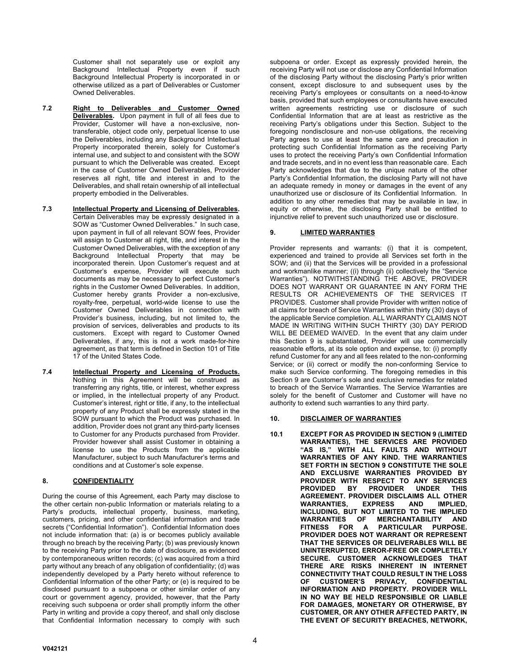Customer shall not separately use or exploit any Background Intellectual Property even if such Background Intellectual Property is incorporated in or otherwise utilized as a part of Deliverables or Customer Owned Deliverables.

- **7.2 Right to Deliverables and Customer Owned Deliverables.** Upon payment in full of all fees due to Provider, Customer will have a non-exclusive, nontransferable, object code only, perpetual license to use the Deliverables, including any Background Intellectual Property incorporated therein, solely for Customer's internal use, and subject to and consistent with the SOW pursuant to which the Deliverable was created. Except in the case of Customer Owned Deliverables, Provider reserves all right, title and interest in and to the Deliverables, and shall retain ownership of all intellectual property embodied in the Deliverables.
- **7.3 Intellectual Property and Licensing of Deliverables.** Certain Deliverables may be expressly designated in a SOW as "Customer Owned Deliverables." In such case, upon payment in full of all relevant SOW fees, Provider will assign to Customer all right, title, and interest in the Customer Owned Deliverables, with the exception of any Background Intellectual Property that may be incorporated therein. Upon Customer's request and at Customer's expense, Provider will execute such documents as may be necessary to perfect Customer's rights in the Customer Owned Deliverables. In addition, Customer hereby grants Provider a non-exclusive, royalty-free, perpetual, world-wide license to use the Customer Owned Deliverables in connection with Provider's business, including, but not limited to, the provision of services, deliverables and products to its customers. Except with regard to Customer Owned Deliverables, if any, this is not a work made-for-hire agreement, as that term is defined in Section 101 of Title 17 of the United States Code.
- **7.4 Intellectual Property and Licensing of Products.** Nothing in this Agreement will be construed as transferring any rights, title, or interest, whether express or implied, in the intellectual property of any Product. Customer's interest, right or title, if any, to the intellectual property of any Product shall be expressly stated in the SOW pursuant to which the Product was purchased. In addition, Provider does not grant any third-party licenses to Customer for any Products purchased from Provider. Provider however shall assist Customer in obtaining a license to use the Products from the applicable Manufacturer, subject to such Manufacturer's terms and conditions and at Customer's sole expense.

#### **8. CONFIDENTIALITY**

During the course of this Agreement, each Party may disclose to the other certain non-public Information or materials relating to a Party's products, intellectual property, business, marketing, customers, pricing, and other confidential information and trade secrets ("Confidential Information"). Confidential Information does not include information that: (a) is or becomes publicly available through no breach by the receiving Party; (b) was previously known to the receiving Party prior to the date of disclosure, as evidenced by contemporaneous written records; (c) was acquired from a third party without any breach of any obligation of confidentiality; (d) was independently developed by a Party hereto without reference to Confidential Information of the other Party; or (e) is required to be disclosed pursuant to a subpoena or other similar order of any court or government agency, provided, however, that the Party receiving such subpoena or order shall promptly inform the other Party in writing and provide a copy thereof, and shall only disclose that Confidential Information necessary to comply with such

subpoena or order. Except as expressly provided herein, the receiving Party will not use or disclose any Confidential Information of the disclosing Party without the disclosing Party's prior written consent, except disclosure to and subsequent uses by the receiving Party's employees or consultants on a need-to-know basis, provided that such employees or consultants have executed written agreements restricting use or disclosure of such Confidential Information that are at least as restrictive as the receiving Party's obligations under this Section. Subject to the foregoing nondisclosure and non-use obligations, the receiving Party agrees to use at least the same care and precaution in protecting such Confidential Information as the receiving Party uses to protect the receiving Party's own Confidential Information and trade secrets, and in no event less than reasonable care. Each Party acknowledges that due to the unique nature of the other Party's Confidential Information, the disclosing Party will not have an adequate remedy in money or damages in the event of any unauthorized use or disclosure of its Confidential Information. In addition to any other remedies that may be available in law, in equity or otherwise, the disclosing Party shall be entitled to injunctive relief to prevent such unauthorized use or disclosure.

### **9. LIMITED WARRANTIES**

Provider represents and warrants: (i) that it is competent, experienced and trained to provide all Services set forth in the SOW; and (ii) that the Services will be provided in a professional and workmanlike manner; ((i) through (ii) collectively the "Service Warranties"). NOTWITHSTANDING THE ABOVE, PROVIDER DOES NOT WARRANT OR GUARANTEE IN ANY FORM THE RESULTS OR ACHIEVEMENTS OF THE SERVICES IT PROVIDES. Customer shall provide Provider with written notice of all claims for breach of Service Warranties within thirty (30) days of the applicable Service completion. ALL WARRANTY CLAIMS NOT MADE IN WRITING WITHIN SUCH THIRTY (30) DAY PERIOD WILL BE DEEMED WAIVED. In the event that any claim under this Section 9 is substantiated, Provider will use commercially reasonable efforts, at its sole option and expense, to: (i) promptly refund Customer for any and all fees related to the non-conforming Service; or (ii) correct or modify the non-conforming Service to make such Service conforming. The foregoing remedies in this Section 9 are Customer's sole and exclusive remedies for related to breach of the Service Warranties. The Service Warranties are solely for the benefit of Customer and Customer will have no authority to extend such warranties to any third party.

#### **10. DISCLAIMER OF WARRANTIES**

**10.1 EXCEPT FOR AS PROVIDED IN SECTION 9 (LIMITED WARRANTIES), THE SERVICES ARE PROVIDED "AS IS," WITH ALL FAULTS AND WITHOUT WARRANTIES OF ANY KIND. THE WARRANTIES SET FORTH IN SECTION 9 CONSTITUTE THE SOLE AND EXCLUSIVE WARRANTIES PROVIDED BY PROVIDER WITH RESPECT TO ANY SERVICES PROVIDED BY PROVIDER UNDER THIS AGREEMENT. PROVIDER DISCLAIMS ALL OTHER WARRANTIES, EXPRESS AND IMPLIED, INCLUDING, BUT NOT LIMITED TO THE IMPLIED MERCHANTABILITY AND FITNESS FOR A PARTICULAR PURPOSE. PROVIDER DOES NOT WARRANT OR REPRESENT THAT THE SERVICES OR DELIVERABLES WILL BE UNINTERRUPTED, ERROR-FREE OR COMPLETELY SECURE. CUSTOMER ACKNOWLEDGES THAT THERE ARE RISKS INHERENT IN INTERNET CONNECTIVITY THAT COULD RESULT IN THE LOSS OF CUSTOMER'S PRIVACY, CONFIDENTIAL INFORMATION AND PROPERTY. PROVIDER WILL IN NO WAY BE HELD RESPONSIBLE OR LIABLE FOR DAMAGES, MONETARY OR OTHERWISE, BY CUSTOMER, OR ANY OTHER AFFECTED PARTY, IN THE EVENT OF SECURITY BREACHES, NETWORK,**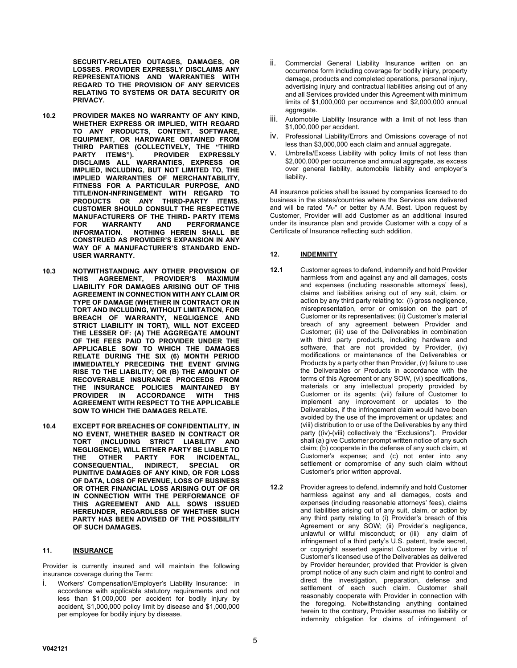**SECURITY-RELATED OUTAGES, DAMAGES, OR LOSSES. PROVIDER EXPRESSLY DISCLAIMS ANY REPRESENTATIONS AND WARRANTIES WITH REGARD TO THE PROVISION OF ANY SERVICES RELATING TO SYSTEMS OR DATA SECURITY OR PRIVACY.**

- **10.2 PROVIDER MAKES NO WARRANTY OF ANY KIND, WHETHER EXPRESS OR IMPLIED, WITH REGARD TO ANY PRODUCTS, CONTENT, SOFTWARE, EQUIPMENT, OR HARDWARE OBTAINED FROM THIRD PARTIES (COLLECTIVELY, THE "THIRD PROVIDER EXPRESSLY DISCLAIMS ALL WARRANTIES, EXPRESS OR IMPLIED, INCLUDING, BUT NOT LIMITED TO, THE IMPLIED WARRANTIES OF MERCHANTABILITY, FITNESS FOR A PARTICULAR PURPOSE, AND TITLE/NON-INFRINGEMENT WITH REGARD TO PRODUCTS OR ANY CUSTOMER SHOULD CONSULT THE RESPECTIVE MANUFACTURERS OF THE THIRD- PARTY ITEMS FOR WARRANTY AND PERFORMANCE INFORMATION. NOTHING HEREIN SHALL BE CONSTRUED AS PROVIDER'S EXPANSION IN ANY WAY OF A MANUFACTURER'S STANDARD END-USER WARRANTY.**
- **10.3 NOTWITHSTANDING ANY OTHER PROVISION OF THIS AGREEMENT, PROVIDER'S MAXIMUM LIABILITY FOR DAMAGES ARISING OUT OF THIS AGREEMENT IN CONNECTION WITH ANY CLAIM OR TYPE OF DAMAGE (WHETHER IN CONTRACT OR IN TORT AND INCLUDING, WITHOUT LIMITATION, FOR BREACH OF WARRANTY, NEGLIGENCE AND STRICT LIABILITY IN TORT), WILL NOT EXCEED THE LESSER OF: (A) THE AGGREGATE AMOUNT OF THE FEES PAID TO PROVIDER UNDER THE APPLICABLE SOW TO WHICH THE DAMAGES RELATE DURING THE SIX (6) MONTH PERIOD IMMEDIATELY PRECEDING THE EVENT GIVING RISE TO THE LIABILITY; OR (B) THE AMOUNT OF RECOVERABLE INSURANCE PROCEEDS FROM THE INSURANCE POLICIES MAINTAINED BY PROVIDER IN ACCORDANCE WITH THIS AGREEMENT WITH RESPECT TO THE APPLICABLE SOW TO WHICH THE DAMAGES RELATE.**
- **10.4 EXCEPT FOR BREACHES OF CONFIDENTIALITY, IN NO EVENT, WHETHER BASED IN CONTRACT OR TORT (INCLUDING STRICT LIABILITY AND NEGLIGENCE), WILL EITHER PARTY BE LIABLE TO THE OTHER PARTY FOR INCIDENTAL, CONSEQUENTIAL, INDIRECT, SPECIAL OR PUNITIVE DAMAGES OF ANY KIND, OR FOR LOSS OF DATA, LOSS OF REVENUE, LOSS OF BUSINESS OR OTHER FINANCIAL LOSS ARISING OUT OF OR IN CONNECTION WITH THE PERFORMANCE OF THIS AGREEMENT AND ALL SOWS ISSUED HEREUNDER, REGARDLESS OF WHETHER SUCH PARTY HAS BEEN ADVISED OF THE POSSIBILITY OF SUCH DAMAGES.**

#### **11. INSURANCE**

Provider is currently insured and will maintain the following insurance coverage during the Term:

Workers' Compensation/Employer's Liability Insurance: in accordance with applicable statutory requirements and not less than \$1,000,000 per accident for bodily injury by accident, \$1,000,000 policy limit by disease and \$1,000,000 per employee for bodily injury by disease.

- ii. Commercial General Liability Insurance written on an occurrence form including coverage for bodily injury, property damage, products and completed operations, personal injury, advertising injury and contractual liabilities arising out of any and all Services provided under this Agreement with minimum limits of \$1,000,000 per occurrence and \$2,000,000 annual aggregate.
- iii. Automobile Liability Insurance with a limit of not less than \$1,000,000 per accident.
- iv. Professional Liability/Errors and Omissions coverage of not less than \$3,000,000 each claim and annual aggregate.
- v. Umbrella/Excess Liability with policy limits of not less than \$2,000,000 per occurrence and annual aggregate, as excess over general liability, automobile liability and employer's liability.

All insurance policies shall be issued by companies licensed to do business in the states/countries where the Services are delivered and will be rated "A-" or better by A.M. Best. Upon request by Customer, Provider will add Customer as an additional insured under its insurance plan and provide Customer with a copy of a Certificate of Insurance reflecting such addition.

#### **12. INDEMNITY**

- **12.1** Customer agrees to defend, indemnify and hold Provider harmless from and against any and all damages, costs and expenses (including reasonable attorneys' fees), claims and liabilities arising out of any suit, claim, or action by any third party relating to: (i) gross negligence, misrepresentation, error or omission on the part of Customer or its representatives; (ii) Customer's material breach of any agreement between Provider and Customer; (iii) use of the Deliverables in combination with third party products, including hardware and software, that are not provided by Provider, (iv) modifications or maintenance of the Deliverables or Products by a party other than Provider, (v) failure to use the Deliverables or Products in accordance with the terms of this Agreement or any SOW, (vi) specifications, materials or any intellectual property provided by Customer or its agents; (vii) failure of Customer to implement any improvement or updates to the Deliverables, if the infringement claim would have been avoided by the use of the improvement or updates; and (viii) distribution to or use of the Deliverables by any third party ((iv)-(viii) collectively the "Exclusions"). Provider shall (a) give Customer prompt written notice of any such claim; (b) cooperate in the defense of any such claim, at Customer's expense; and (c) not enter into any settlement or compromise of any such claim without Customer's prior written approval.
- **12.2** Provider agrees to defend, indemnify and hold Customer harmless against any and all damages, costs and expenses (including reasonable attorneys' fees), claims and liabilities arising out of any suit, claim, or action by any third party relating to (i) Provider's breach of this Agreement or any SOW; (ii) Provider's negligence, unlawful or willful misconduct; or (iii) any claim of infringement of a third party's U.S. patent, trade secret, or copyright asserted against Customer by virtue of Customer's licensed use of the Deliverables as delivered by Provider hereunder; provided that Provider is given prompt notice of any such claim and right to control and direct the investigation, preparation, defense and settlement of each such claim. Customer shall reasonably cooperate with Provider in connection with the foregoing. Notwithstanding anything contained herein to the contrary, Provider assumes no liability or indemnity obligation for claims of infringement of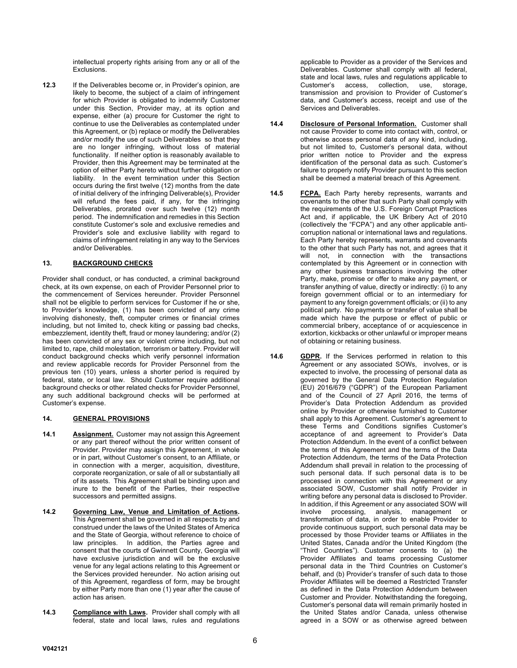intellectual property rights arising from any or all of the Exclusions.

**12.3** If the Deliverables become or, in Provider's opinion, are likely to become, the subject of a claim of infringement for which Provider is obligated to indemnify Customer under this Section, Provider may, at its option and expense, either (a) procure for Customer the right to continue to use the Deliverables as contemplated under this Agreement, or (b) replace or modify the Deliverables and/or modify the use of such Deliverables so that they are no longer infringing, without loss of material functionality. If neither option is reasonably available to Provider, then this Agreement may be terminated at the option of either Party hereto without further obligation or liability. In the event termination under this Section occurs during the first twelve (12) months from the date of initial delivery of the infringing Deliverable(s), Provider will refund the fees paid, if any, for the infringing Deliverables, prorated over such twelve (12) month period. The indemnification and remedies in this Section constitute Customer's sole and exclusive remedies and Provider's sole and exclusive liability with regard to claims of infringement relating in any way to the Services and/or Deliverables.

# **13. BACKGROUND CHECKS**

Provider shall conduct, or has conducted, a criminal background check, at its own expense, on each of Provider Personnel prior to the commencement of Services hereunder. Provider Personnel shall not be eligible to perform services for Customer if he or she, to Provider's knowledge, (1) has been convicted of any crime involving dishonesty, theft, computer crimes or financial crimes including, but not limited to, check kiting or passing bad checks, embezzlement, identity theft, fraud or money laundering; and/or (2) has been convicted of any sex or violent crime including, but not limited to, rape, child molestation, terrorism or battery. Provider will conduct background checks which verify personnel information and review applicable records for Provider Personnel from the previous ten (10) years, unless a shorter period is required by federal, state, or local law. Should Customer require additional background checks or other related checks for Provider Personnel, any such additional background checks will be performed at Customer's expense.

#### **14. GENERAL PROVISIONS**

- **14.1 Assignment.** Customer may not assign this Agreement or any part thereof without the prior written consent of Provider. Provider may assign this Agreement, in whole or in part, without Customer's consent, to an Affiliate, or in connection with a merger, acquisition, divestiture, corporate reorganization, or sale of all or substantially all of its assets. This Agreement shall be binding upon and inure to the benefit of the Parties, their respective successors and permitted assigns.
- **14.2 Governing Law, Venue and Limitation of Actions.** This Agreement shall be governed in all respects by and construed under the laws of the United States of America and the State of Georgia, without reference to choice of law principles. In addition, the Parties agree and consent that the courts of Gwinnett County, Georgia will have exclusive jurisdiction and will be the exclusive venue for any legal actions relating to this Agreement or the Services provided hereunder. No action arising out of this Agreement, regardless of form, may be brought by either Party more than one (1) year after the cause of action has arisen.
- **14.3 Compliance with Laws.** Provider shall comply with all federal, state and local laws, rules and regulations

applicable to Provider as a provider of the Services and Deliverables. Customer shall comply with all federal, state and local laws, rules and regulations applicable to Customer's access, collection, use, storage, transmission and provision to Provider of Customer's data, and Customer's access, receipt and use of the Services and Deliverables.

- **14.4 Disclosure of Personal Information.** Customer shall not cause Provider to come into contact with, control, or otherwise access personal data of any kind, including, but not limited to, Customer's personal data, without prior written notice to Provider and the express identification of the personal data as such. Customer's failure to properly notify Provider pursuant to this section shall be deemed a material breach of this Agreement.
- **14.5 FCPA.** Each Party hereby represents, warrants and covenants to the other that such Party shall comply with the requirements of the U.S. Foreign Corrupt Practices Act and, if applicable, the UK Bribery Act of 2010 (collectively the "FCPA") and any other applicable anticorruption national or international laws and regulations. Each Party hereby represents, warrants and covenants to the other that such Party has not, and agrees that it will not, in connection with the transactions contemplated by this Agreement or in connection with any other business transactions involving the other Party, make, promise or offer to make any payment, or transfer anything of value, directly or indirectly: (i) to any foreign government official or to an intermediary for payment to any foreign government officials; or (ii) to any political party. No payments or transfer of value shall be made which have the purpose or effect of public or commercial bribery, acceptance of or acquiescence in extortion, kickbacks or other unlawful or improper means of obtaining or retaining business.
- **14.6 GDPR.** If the Services performed in relation to this Agreement or any associated SOWs, involves, or is expected to involve, the processing of personal data as governed by the General Data Protection Regulation (EU) 2016/679 ("GDPR") of the European Parliament and of the Council of 27 April 2016, the terms of Provider's Data Protection Addendum as provided online by Provider or otherwise furnished to Customer shall apply to this Agreement. Customer's agreement to these Terms and Conditions signifies Customer's acceptance of and agreement to Provider's Data Protection Addendum. In the event of a conflict between the terms of this Agreement and the terms of the Data Protection Addendum, the terms of the Data Protection Addendum shall prevail in relation to the processing of such personal data. If such personal data is to be processed in connection with this Agreement or any associated SOW, Customer shall notify Provider in writing before any personal data is disclosed to Provider. In addition, if this Agreement or any associated SOW will involve processing, analysis, management or transformation of data, in order to enable Provider to provide continuous support, such personal data may be processed by those Provider teams or Affiliates in the United States, Canada and/or the United Kingdom (the "Third Countries"). Customer consents to (a) the Provider Affiliates and teams processing Customer personal data in the Third Countries on Customer's behalf, and (b) Provider's transfer of such data to those Provider Affiliates will be deemed a Restricted Transfer as defined in the Data Protection Addendum between Customer and Provider. Notwithstanding the foregoing, Customer's personal data will remain primarily hosted in the United States and/or Canada, unless otherwise agreed in a SOW or as otherwise agreed between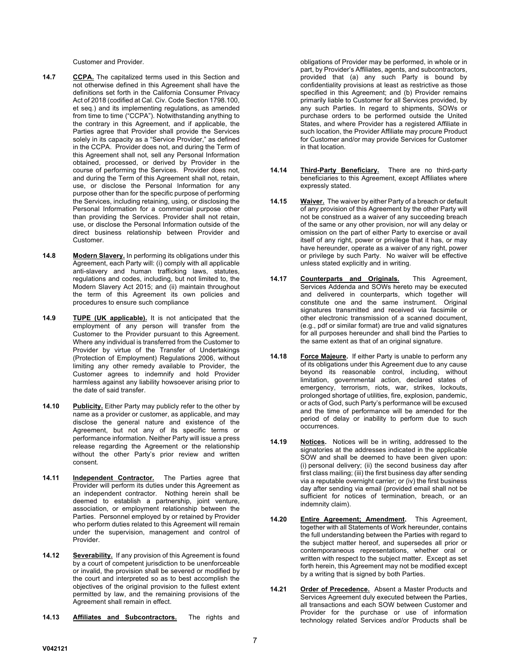Customer and Provider.

- **14.7 CCPA.** The capitalized terms used in this Section and not otherwise defined in this Agreement shall have the definitions set forth in the California Consumer Privacy Act of 2018 (codified at Cal. Civ. Code Section 1798.100, et seq.) and its implementing regulations, as amended from time to time ("CCPA"). Notwithstanding anything to the contrary in this Agreement, and if applicable, the Parties agree that Provider shall provide the Services solely in its capacity as a "Service Provider," as defined in the CCPA. Provider does not, and during the Term of this Agreement shall not, sell any Personal Information obtained, processed, or derived by Provider in the course of performing the Services. Provider does not, and during the Term of this Agreement shall not, retain, use, or disclose the Personal Information for any purpose other than for the specific purpose of performing the Services, including retaining, using, or disclosing the Personal Information for a commercial purpose other than providing the Services. Provider shall not retain, use, or disclose the Personal Information outside of the direct business relationship between Provider and Customer.
- **14.8 Modern Slavery.** In performing its obligations under this Agreement, each Party will: (i) comply with all applicable anti-slavery and human trafficking laws, statutes, regulations and codes, including, but not limited to, the Modern Slavery Act 2015; and (ii) maintain throughout the term of this Agreement its own policies and procedures to ensure such compliance
- **14.9 TUPE (UK applicable).** It is not anticipated that the employment of any person will transfer from the Customer to the Provider pursuant to this Agreement. Where any individual is transferred from the Customer to Provider by virtue of the Transfer of Undertakings (Protection of Employment) Regulations 2006, without limiting any other remedy available to Provider, the Customer agrees to indemnify and hold Provider harmless against any liability howsoever arising prior to the date of said transfer.
- **14.10 Publicity.** Either Party may publicly refer to the other by name as a provider or customer, as applicable, and may disclose the general nature and existence of the Agreement, but not any of its specific terms or performance information. Neither Party will issue a press release regarding the Agreement or the relationship without the other Party's prior review and written consent.
- **14.11 Independent Contractor.** The Parties agree that Provider will perform its duties under this Agreement as an independent contractor. Nothing herein shall be deemed to establish a partnership, joint venture, association, or employment relationship between the Parties. Personnel employed by or retained by Provider who perform duties related to this Agreement will remain under the supervision, management and control of Provider.
- **14.12 Severability.** If any provision of this Agreement is found by a court of competent jurisdiction to be unenforceable or invalid, the provision shall be severed or modified by the court and interpreted so as to best accomplish the objectives of the original provision to the fullest extent permitted by law, and the remaining provisions of the Agreement shall remain in effect.
- **14.13 Affiliates and Subcontractors.** The rights and

obligations of Provider may be performed, in whole or in part, by Provider's Affiliates, agents, and subcontractors, provided that (a) any such Party is bound by confidentiality provisions at least as restrictive as those specified in this Agreement; and (b) Provider remains primarily liable to Customer for all Services provided, by any such Parties. In regard to shipments, SOWs or purchase orders to be performed outside the United States, and where Provider has a registered Affiliate in such location, the Provider Affiliate may procure Product for Customer and/or may provide Services for Customer in that location.

- **14.14 Third-Party Beneficiary.** There are no third-party beneficiaries to this Agreement, except Affiliates where expressly stated.
- **14.15 Waiver.** The waiver by either Party of a breach or default of any provision of this Agreement by the other Party will not be construed as a waiver of any succeeding breach of the same or any other provision, nor will any delay or omission on the part of either Party to exercise or avail itself of any right, power or privilege that it has, or may have hereunder, operate as a waiver of any right, power or privilege by such Party. No waiver will be effective unless stated explicitly and in writing.
- **14.17 Counterparts and Originals.** This Agreement, Services Addenda and SOWs hereto may be executed and delivered in counterparts, which together will constitute one and the same instrument. Original signatures transmitted and received via facsimile or other electronic transmission of a scanned document, (e.g., pdf or similar format) are true and valid signatures for all purposes hereunder and shall bind the Parties to the same extent as that of an original signature.
- **14.18 Force Majeure.** If either Party is unable to perform any of its obligations under this Agreement due to any cause beyond its reasonable control, including, without limitation, governmental action, declared states of emergency, terrorism, riots, war, strikes, lockouts, prolonged shortage of utilities, fire, explosion, pandemic, or acts of God, such Party's performance will be excused and the time of performance will be amended for the period of delay or inability to perform due to such occurrences.
- **14.19 Notices.** Notices will be in writing, addressed to the signatories at the addresses indicated in the applicable SOW and shall be deemed to have been given upon: (i) personal delivery; (ii) the second business day after first class mailing; (iii) the first business day after sending via a reputable overnight carrier; or (iv) the first business day after sending via email (provided email shall not be sufficient for notices of termination, breach, or an indemnity claim).
- **14.20 Entire Agreement; Amendment.** This Agreement, together with all Statements of Work hereunder, contains the full understanding between the Parties with regard to the subject matter hereof, and supersedes all prior or contemporaneous representations, whether oral or written with respect to the subject matter. Except as set forth herein, this Agreement may not be modified except by a writing that is signed by both Parties.
- **14.21 Order of Precedence.** Absent a Master Products and Services Agreement duly executed between the Parties, all transactions and each SOW between Customer and Provider for the purchase or use of information technology related Services and/or Products shall be